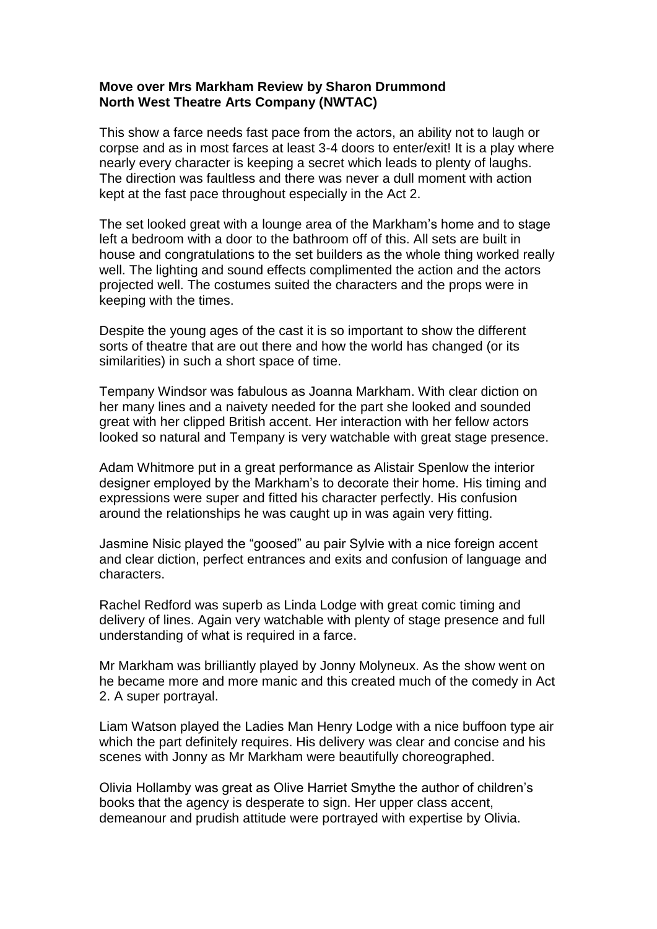## **Move over Mrs Markham Review by Sharon Drummond North West Theatre Arts Company (NWTAC)**

This show a farce needs fast pace from the actors, an ability not to laugh or corpse and as in most farces at least 3-4 doors to enter/exit! It is a play where nearly every character is keeping a secret which leads to plenty of laughs. The direction was faultless and there was never a dull moment with action kept at the fast pace throughout especially in the Act 2.

The set looked great with a lounge area of the Markham's home and to stage left a bedroom with a door to the bathroom off of this. All sets are built in house and congratulations to the set builders as the whole thing worked really well. The lighting and sound effects complimented the action and the actors projected well. The costumes suited the characters and the props were in keeping with the times.

Despite the young ages of the cast it is so important to show the different sorts of theatre that are out there and how the world has changed (or its similarities) in such a short space of time.

Tempany Windsor was fabulous as Joanna Markham. With clear diction on her many lines and a naivety needed for the part she looked and sounded great with her clipped British accent. Her interaction with her fellow actors looked so natural and Tempany is very watchable with great stage presence.

Adam Whitmore put in a great performance as Alistair Spenlow the interior designer employed by the Markham's to decorate their home. His timing and expressions were super and fitted his character perfectly. His confusion around the relationships he was caught up in was again very fitting.

Jasmine Nisic played the "goosed" au pair Sylvie with a nice foreign accent and clear diction, perfect entrances and exits and confusion of language and characters.

Rachel Redford was superb as Linda Lodge with great comic timing and delivery of lines. Again very watchable with plenty of stage presence and full understanding of what is required in a farce.

Mr Markham was brilliantly played by Jonny Molyneux. As the show went on he became more and more manic and this created much of the comedy in Act 2. A super portrayal.

Liam Watson played the Ladies Man Henry Lodge with a nice buffoon type air which the part definitely requires. His delivery was clear and concise and his scenes with Jonny as Mr Markham were beautifully choreographed.

Olivia Hollamby was great as Olive Harriet Smythe the author of children's books that the agency is desperate to sign. Her upper class accent, demeanour and prudish attitude were portrayed with expertise by Olivia.